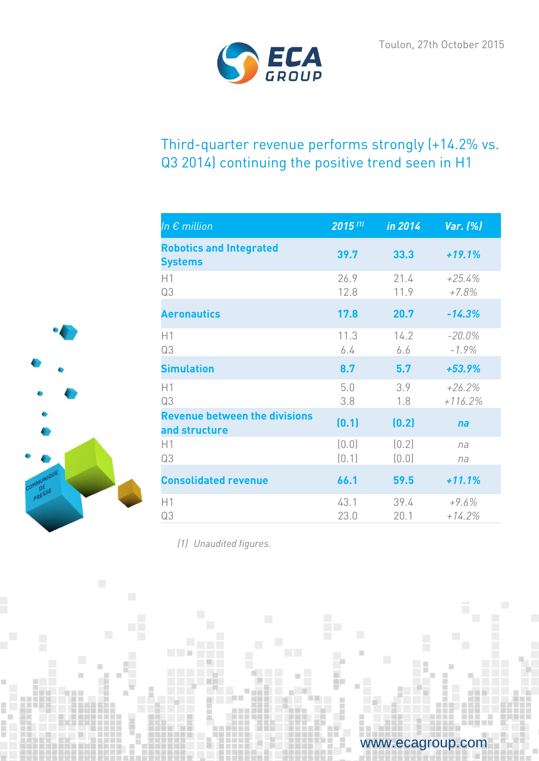

# Third-quarter revenue performs strongly (+14.2% vs. Q3 2014) continuing the positive trend seen in H1

| In $\epsilon$ million                                 | 2015 (1)       | in 2014        | Var. (%)              |
|-------------------------------------------------------|----------------|----------------|-----------------------|
| <b>Robotics and Integrated</b><br><b>Systems</b>      | 39.7           | 33.3           | $+19.1%$              |
| H1<br>Q3                                              | 26.9<br>12.8   | 21.4<br>11.9   | $+25.4%$<br>$+7.8%$   |
| <b>Aeronautics</b>                                    | 17.8           | 20.7           | $-14.3%$              |
| H1<br>Q3                                              | 11.3<br>6.4    | 14.2<br>6.6    | $-20.0%$<br>$-1.9%$   |
| <b>Simulation</b>                                     | 8.7            | 5.7            | $+53.9%$              |
| H1<br>Q3                                              | 5.0<br>3.8     | 3.9<br>1.8     | $+26.2%$<br>$+116.2%$ |
| <b>Revenue between the divisions</b><br>and structure | (0.1)          | (0.2)          | na                    |
| H1<br>Q3                                              | (0.0)<br>(0.1) | (0.2)<br>(0.0) | na<br>na              |
| <b>Consolidated revenue</b>                           | 66.1           | 59.5           | $+11.1%$              |
| H1<br>Q3                                              | 43.1<br>23.0   | 39.4<br>20.1   | $+9.6%$<br>$+14.2%$   |

I

*(1) Unaudited figures.*

**TELESCOPE** 



www.ecagroup.com

 $\rightarrow$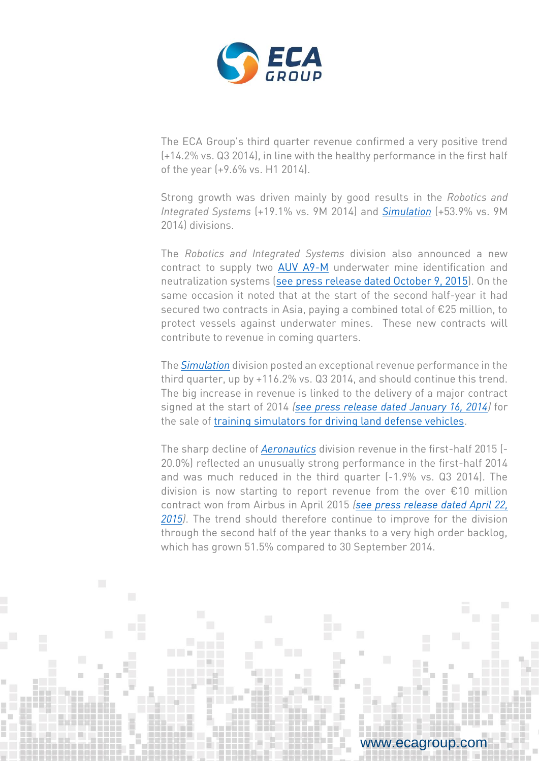

The ECA Group's third quarter revenue confirmed a very positive trend (+14.2% vs. Q3 2014), in line with the healthy performance in the first half of the year (+9.6% vs. H1 2014).

Strong growth was driven mainly by good results in the *Robotics and Integrated Systems* (+19.1% vs. 9M 2014) and *[Simulation](http://www.ecagroup.com/en/training-simulation)* (+53.9% vs. 9M 2014) divisions.

The *Robotics and Integrated Systems* division also announced a new contract to supply two [AUV A9-M](http://www.ecagroup.com/en/solutions/a9-m) underwater mine identification and neutralization systems [\(see press release dated October 9, 2015\)](http://www.ecagroup.com/en/financial/eca-group-awarded-contract-two-underwater-survey-mine-counter-measures-auvs-a9-m). On the same occasion it noted that at the start of the second half-year it had secured two contracts in Asia, paying a combined total of €25 million, to protect vessels against underwater mines. These new contracts will contribute to revenue in coming quarters.

The *[Simulation](http://www.ecagroup.com/en/training-simulation)* division posted an exceptional revenue performance in the third quarter, up by +116.2% vs. Q3 2014, and should continue this trend. The big increase in revenue is linked to the delivery of a major contract signed at the start of 2014 *[\(see press release dated January 16, 2014\)](http://www.ecagroup.com/en/financial/eca-sale-land-based-defense-simulators-internationally)* for the sale of [training simulators for driving land defense vehicles.](http://www.ecagroup.com/en/solutions/simulation-training-systems-military-vehicle-driving)

The sharp decline of *[Aeronautics](http://www.ecagroup.com/en/aerospace)* division revenue in the first-half 2015 (- 20.0%) reflected an unusually strong performance in the first-half 2014 and was much reduced in the third quarter (-1.9% vs. Q3 2014). The division is now starting to report revenue from the over €10 million contract won from Airbus in April 2015 *[\(see press release dated April](http://www.ecagroup.com/en/financial/eca-groups-aerospace-division-won-major-contract-over-eu10-million) 22, [2015\)](http://www.ecagroup.com/en/financial/eca-groups-aerospace-division-won-major-contract-over-eu10-million)*. The trend should therefore continue to improve for the division through the second half of the year thanks to a very high order backlog, which has grown 51.5% compared to 30 September 2014.